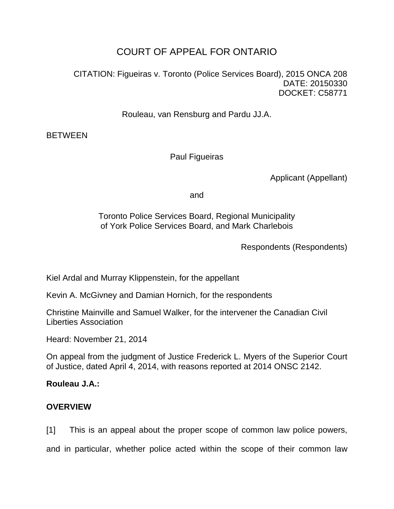# COURT OF APPEAL FOR ONTARIO

CITATION: Figueiras v. Toronto (Police Services Board), 2015 ONCA 208 DATE: 20150330 DOCKET: C58771

Rouleau, van Rensburg and Pardu JJ.A.

**BETWEEN** 

Paul Figueiras

Applicant (Appellant)

and

Toronto Police Services Board, Regional Municipality of York Police Services Board, and Mark Charlebois

Respondents (Respondents)

Kiel Ardal and Murray Klippenstein, for the appellant

Kevin A. McGivney and Damian Hornich, for the respondents

Christine Mainville and Samuel Walker, for the intervener the Canadian Civil Liberties Association

Heard: November 21, 2014

On appeal from the judgment of Justice Frederick L. Myers of the Superior Court of Justice, dated April 4, 2014, with reasons reported at 2014 ONSC 2142.

# **Rouleau J.A.:**

# **OVERVIEW**

[1] This is an appeal about the proper scope of common law police powers,

and in particular, whether police acted within the scope of their common law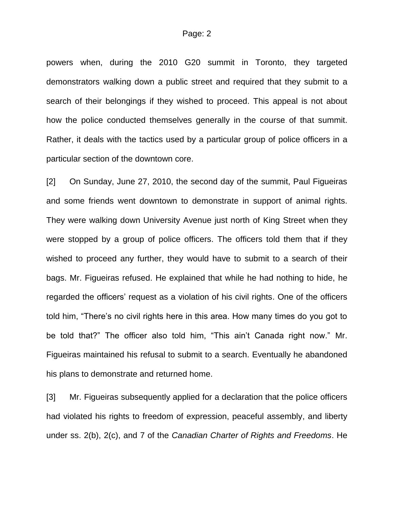powers when, during the 2010 G20 summit in Toronto, they targeted demonstrators walking down a public street and required that they submit to a search of their belongings if they wished to proceed. This appeal is not about how the police conducted themselves generally in the course of that summit. Rather, it deals with the tactics used by a particular group of police officers in a particular section of the downtown core.

[2] On Sunday, June 27, 2010, the second day of the summit, Paul Figueiras and some friends went downtown to demonstrate in support of animal rights. They were walking down University Avenue just north of King Street when they were stopped by a group of police officers. The officers told them that if they wished to proceed any further, they would have to submit to a search of their bags. Mr. Figueiras refused. He explained that while he had nothing to hide, he regarded the officers' request as a violation of his civil rights. One of the officers told him, "There's no civil rights here in this area. How many times do you got to be told that?" The officer also told him, "This ain't Canada right now." Mr. Figueiras maintained his refusal to submit to a search. Eventually he abandoned his plans to demonstrate and returned home.

[3] Mr. Figueiras subsequently applied for a declaration that the police officers had violated his rights to freedom of expression, peaceful assembly, and liberty under ss. 2(b), 2(c), and 7 of the *Canadian Charter of Rights and Freedoms*. He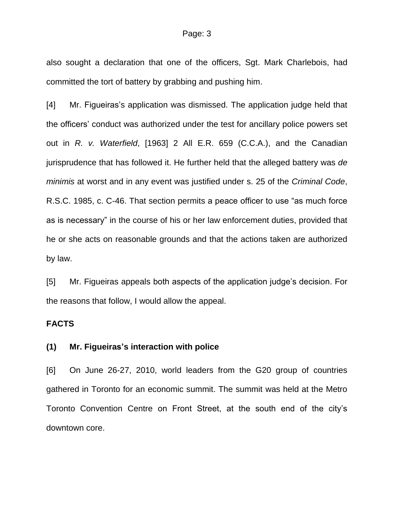also sought a declaration that one of the officers, Sgt. Mark Charlebois, had committed the tort of battery by grabbing and pushing him.

[4] Mr. Figueiras's application was dismissed. The application judge held that the officers' conduct was authorized under the test for ancillary police powers set out in *R. v. Waterfield*, [1963] 2 All E.R. 659 (C.C.A.), and the Canadian jurisprudence that has followed it. He further held that the alleged battery was *de minimis* at worst and in any event was justified under s. 25 of the *Criminal Code*, R.S.C. 1985, c. C-46. That section permits a peace officer to use "as much force as is necessary" in the course of his or her law enforcement duties, provided that he or she acts on reasonable grounds and that the actions taken are authorized by law.

[5] Mr. Figueiras appeals both aspects of the application judge's decision. For the reasons that follow, I would allow the appeal.

# **FACTS**

## **(1) Mr. Figueiras's interaction with police**

[6] On June 26-27, 2010, world leaders from the G20 group of countries gathered in Toronto for an economic summit. The summit was held at the Metro Toronto Convention Centre on Front Street, at the south end of the city's downtown core.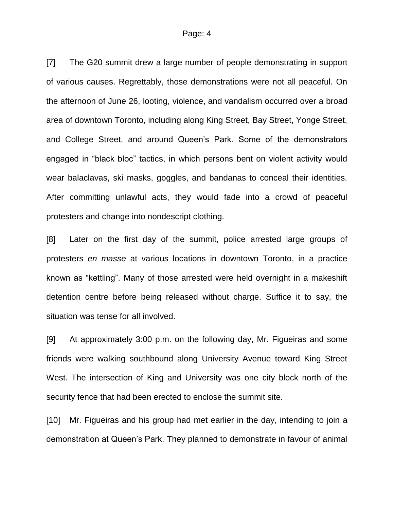#### Page: 4

[7] The G20 summit drew a large number of people demonstrating in support of various causes. Regrettably, those demonstrations were not all peaceful. On the afternoon of June 26, looting, violence, and vandalism occurred over a broad area of downtown Toronto, including along King Street, Bay Street, Yonge Street, and College Street, and around Queen's Park. Some of the demonstrators engaged in "black bloc" tactics, in which persons bent on violent activity would wear balaclavas, ski masks, goggles, and bandanas to conceal their identities. After committing unlawful acts, they would fade into a crowd of peaceful protesters and change into nondescript clothing.

[8] Later on the first day of the summit, police arrested large groups of protesters *en masse* at various locations in downtown Toronto, in a practice known as "kettling". Many of those arrested were held overnight in a makeshift detention centre before being released without charge. Suffice it to say, the situation was tense for all involved.

[9] At approximately 3:00 p.m. on the following day, Mr. Figueiras and some friends were walking southbound along University Avenue toward King Street West. The intersection of King and University was one city block north of the security fence that had been erected to enclose the summit site.

[10] Mr. Figueiras and his group had met earlier in the day, intending to join a demonstration at Queen's Park. They planned to demonstrate in favour of animal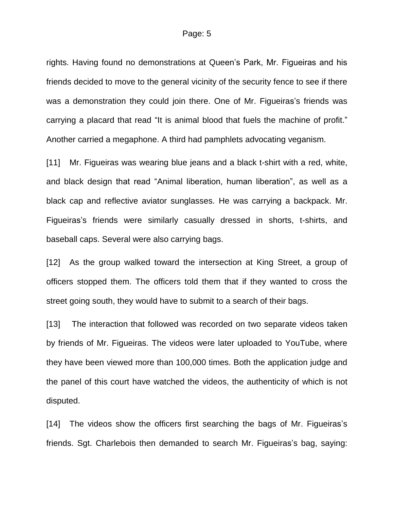rights. Having found no demonstrations at Queen's Park, Mr. Figueiras and his friends decided to move to the general vicinity of the security fence to see if there was a demonstration they could join there. One of Mr. Figueiras's friends was carrying a placard that read "It is animal blood that fuels the machine of profit." Another carried a megaphone. A third had pamphlets advocating veganism.

[11] Mr. Figueiras was wearing blue jeans and a black t-shirt with a red, white, and black design that read "Animal liberation, human liberation", as well as a black cap and reflective aviator sunglasses. He was carrying a backpack. Mr. Figueiras's friends were similarly casually dressed in shorts, t-shirts, and baseball caps. Several were also carrying bags.

[12] As the group walked toward the intersection at King Street, a group of officers stopped them. The officers told them that if they wanted to cross the street going south, they would have to submit to a search of their bags.

[13] The interaction that followed was recorded on two separate videos taken by friends of Mr. Figueiras. The videos were later uploaded to YouTube, where they have been viewed more than 100,000 times. Both the application judge and the panel of this court have watched the videos, the authenticity of which is not disputed.

[14] The videos show the officers first searching the bags of Mr. Figueiras's friends. Sgt. Charlebois then demanded to search Mr. Figueiras's bag, saying: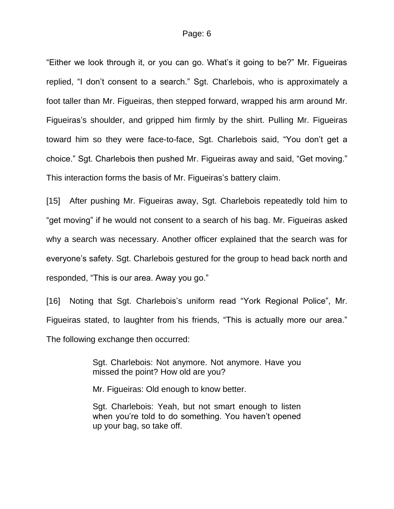"Either we look through it, or you can go. What's it going to be?" Mr. Figueiras replied, "I don't consent to a search." Sgt. Charlebois, who is approximately a foot taller than Mr. Figueiras, then stepped forward, wrapped his arm around Mr. Figueiras's shoulder, and gripped him firmly by the shirt. Pulling Mr. Figueiras toward him so they were face-to-face, Sgt. Charlebois said, "You don't get a choice." Sgt. Charlebois then pushed Mr. Figueiras away and said, "Get moving." This interaction forms the basis of Mr. Figueiras's battery claim.

[15] After pushing Mr. Figueiras away, Sgt. Charlebois repeatedly told him to "get moving" if he would not consent to a search of his bag. Mr. Figueiras asked why a search was necessary. Another officer explained that the search was for everyone's safety. Sgt. Charlebois gestured for the group to head back north and responded, "This is our area. Away you go."

[16] Noting that Sgt. Charlebois's uniform read "York Regional Police", Mr. Figueiras stated, to laughter from his friends, "This is actually more our area." The following exchange then occurred:

> Sgt. Charlebois: Not anymore. Not anymore. Have you missed the point? How old are you?

Mr. Figueiras: Old enough to know better.

Sgt. Charlebois: Yeah, but not smart enough to listen when you're told to do something. You haven't opened up your bag, so take off.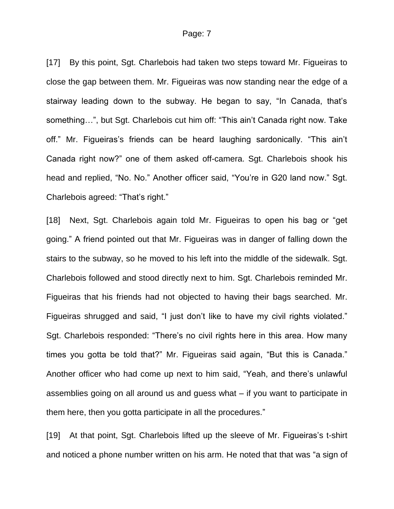### Page: 7

[17] By this point, Sgt. Charlebois had taken two steps toward Mr. Figueiras to close the gap between them. Mr. Figueiras was now standing near the edge of a stairway leading down to the subway. He began to say, "In Canada, that's something…", but Sgt. Charlebois cut him off: "This ain't Canada right now. Take off." Mr. Figueiras's friends can be heard laughing sardonically. "This ain't Canada right now?" one of them asked off-camera. Sgt. Charlebois shook his head and replied, "No. No." Another officer said, "You're in G20 land now." Sgt. Charlebois agreed: "That's right."

[18] Next, Sgt. Charlebois again told Mr. Figueiras to open his bag or "get" going." A friend pointed out that Mr. Figueiras was in danger of falling down the stairs to the subway, so he moved to his left into the middle of the sidewalk. Sgt. Charlebois followed and stood directly next to him. Sgt. Charlebois reminded Mr. Figueiras that his friends had not objected to having their bags searched. Mr. Figueiras shrugged and said, "I just don't like to have my civil rights violated." Sgt. Charlebois responded: "There's no civil rights here in this area. How many times you gotta be told that?" Mr. Figueiras said again, "But this is Canada." Another officer who had come up next to him said, "Yeah, and there's unlawful assemblies going on all around us and guess what – if you want to participate in them here, then you gotta participate in all the procedures."

[19] At that point, Sqt. Charlebois lifted up the sleeve of Mr. Figueiras's t-shirt and noticed a phone number written on his arm. He noted that that was "a sign of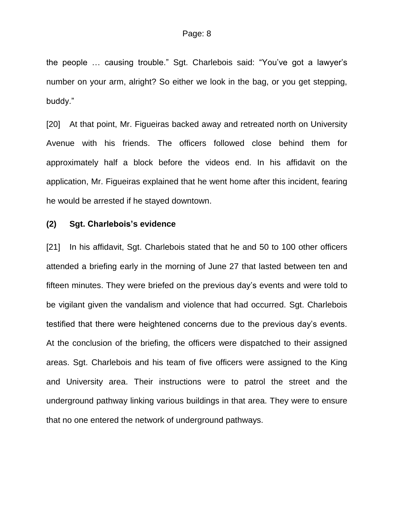the people … causing trouble." Sgt. Charlebois said: "You've got a lawyer's number on your arm, alright? So either we look in the bag, or you get stepping, buddy."

[20] At that point, Mr. Figueiras backed away and retreated north on University Avenue with his friends. The officers followed close behind them for approximately half a block before the videos end. In his affidavit on the application, Mr. Figueiras explained that he went home after this incident, fearing he would be arrested if he stayed downtown.

#### **(2) Sgt. Charlebois's evidence**

[21] In his affidavit, Sgt. Charlebois stated that he and 50 to 100 other officers attended a briefing early in the morning of June 27 that lasted between ten and fifteen minutes. They were briefed on the previous day's events and were told to be vigilant given the vandalism and violence that had occurred. Sgt. Charlebois testified that there were heightened concerns due to the previous day's events. At the conclusion of the briefing, the officers were dispatched to their assigned areas. Sgt. Charlebois and his team of five officers were assigned to the King and University area. Their instructions were to patrol the street and the underground pathway linking various buildings in that area. They were to ensure that no one entered the network of underground pathways.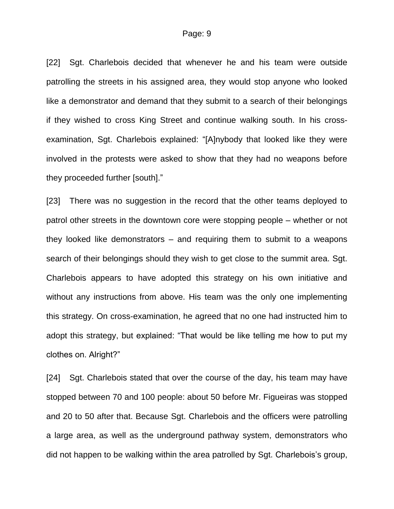[22] Sgt. Charlebois decided that whenever he and his team were outside patrolling the streets in his assigned area, they would stop anyone who looked like a demonstrator and demand that they submit to a search of their belongings if they wished to cross King Street and continue walking south. In his crossexamination, Sgt. Charlebois explained: "[A]nybody that looked like they were involved in the protests were asked to show that they had no weapons before they proceeded further [south]."

[23] There was no suggestion in the record that the other teams deployed to patrol other streets in the downtown core were stopping people – whether or not they looked like demonstrators – and requiring them to submit to a weapons search of their belongings should they wish to get close to the summit area. Sgt. Charlebois appears to have adopted this strategy on his own initiative and without any instructions from above. His team was the only one implementing this strategy. On cross-examination, he agreed that no one had instructed him to adopt this strategy, but explained: "That would be like telling me how to put my clothes on. Alright?"

[24] Sgt. Charlebois stated that over the course of the day, his team may have stopped between 70 and 100 people: about 50 before Mr. Figueiras was stopped and 20 to 50 after that. Because Sgt. Charlebois and the officers were patrolling a large area, as well as the underground pathway system, demonstrators who did not happen to be walking within the area patrolled by Sgt. Charlebois's group,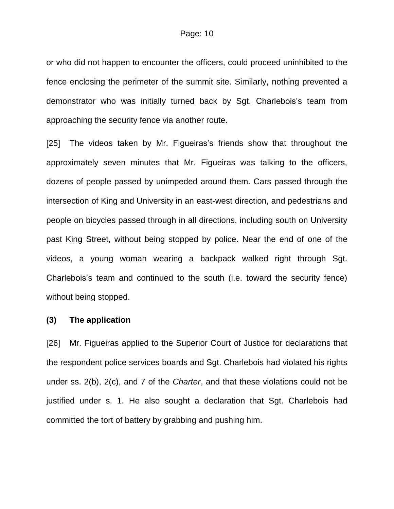or who did not happen to encounter the officers, could proceed uninhibited to the fence enclosing the perimeter of the summit site. Similarly, nothing prevented a demonstrator who was initially turned back by Sgt. Charlebois's team from approaching the security fence via another route.

[25] The videos taken by Mr. Figueiras's friends show that throughout the approximately seven minutes that Mr. Figueiras was talking to the officers, dozens of people passed by unimpeded around them. Cars passed through the intersection of King and University in an east-west direction, and pedestrians and people on bicycles passed through in all directions, including south on University past King Street, without being stopped by police. Near the end of one of the videos, a young woman wearing a backpack walked right through Sgt. Charlebois's team and continued to the south (i.e. toward the security fence) without being stopped.

#### **(3) The application**

[26] Mr. Figueiras applied to the Superior Court of Justice for declarations that the respondent police services boards and Sgt. Charlebois had violated his rights under ss. 2(b), 2(c), and 7 of the *Charter*, and that these violations could not be justified under s. 1. He also sought a declaration that Sgt. Charlebois had committed the tort of battery by grabbing and pushing him.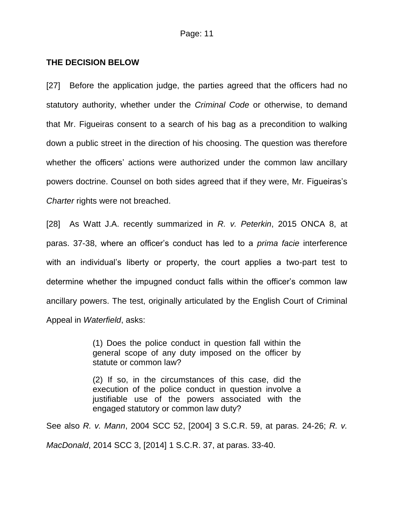# **THE DECISION BELOW**

[27] Before the application judge, the parties agreed that the officers had no statutory authority, whether under the *Criminal Code* or otherwise, to demand that Mr. Figueiras consent to a search of his bag as a precondition to walking down a public street in the direction of his choosing. The question was therefore whether the officers' actions were authorized under the common law ancillary powers doctrine. Counsel on both sides agreed that if they were, Mr. Figueiras's *Charter* rights were not breached.

[28] As Watt J.A. recently summarized in *R. v. Peterkin*, 2015 ONCA 8, at paras. 37-38, where an officer's conduct has led to a *prima facie* interference with an individual's liberty or property, the court applies a two-part test to determine whether the impugned conduct falls within the officer's common law ancillary powers. The test, originally articulated by the English Court of Criminal Appeal in *Waterfield*, asks:

> (1) Does the police conduct in question fall within the general scope of any duty imposed on the officer by statute or common law?

> (2) If so, in the circumstances of this case, did the execution of the police conduct in question involve a justifiable use of the powers associated with the engaged statutory or common law duty?

See also *R. v. Mann*, 2004 SCC 52, [2004] 3 S.C.R. 59, at paras. 24-26; *R. v. MacDonald*, 2014 SCC 3, [2014] 1 S.C.R. 37, at paras. 33-40.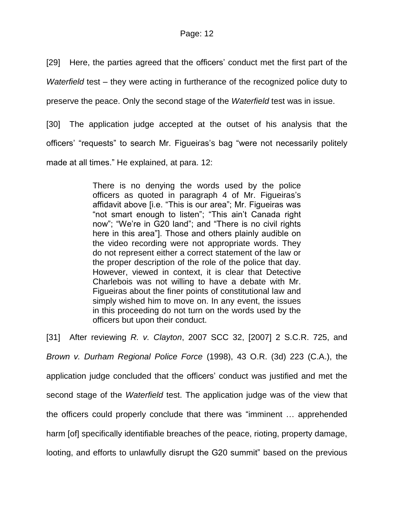[29] Here, the parties agreed that the officers' conduct met the first part of the

*Waterfield* test – they were acting in furtherance of the recognized police duty to

preserve the peace. Only the second stage of the *Waterfield* test was in issue.

[30] The application judge accepted at the outset of his analysis that the officers' "requests" to search Mr. Figueiras's bag "were not necessarily politely made at all times." He explained, at para. 12:

> There is no denying the words used by the police officers as quoted in paragraph 4 of Mr. Figueiras's affidavit above [i.e. "This is our area"; Mr. Figueiras was "not smart enough to listen"; "This ain't Canada right now"; "We're in G20 land"; and "There is no civil rights here in this area"]. Those and others plainly audible on the video recording were not appropriate words. They do not represent either a correct statement of the law or the proper description of the role of the police that day. However, viewed in context, it is clear that Detective Charlebois was not willing to have a debate with Mr. Figueiras about the finer points of constitutional law and simply wished him to move on. In any event, the issues in this proceeding do not turn on the words used by the officers but upon their conduct.

[31] After reviewing *R. v. Clayton*, 2007 SCC 32, [2007] 2 S.C.R. 725, and *Brown v. Durham Regional Police Force* (1998), 43 O.R. (3d) 223 (C.A.), the application judge concluded that the officers' conduct was justified and met the second stage of the *Waterfield* test. The application judge was of the view that the officers could properly conclude that there was "imminent … apprehended harm [of] specifically identifiable breaches of the peace, rioting, property damage, looting, and efforts to unlawfully disrupt the G20 summit" based on the previous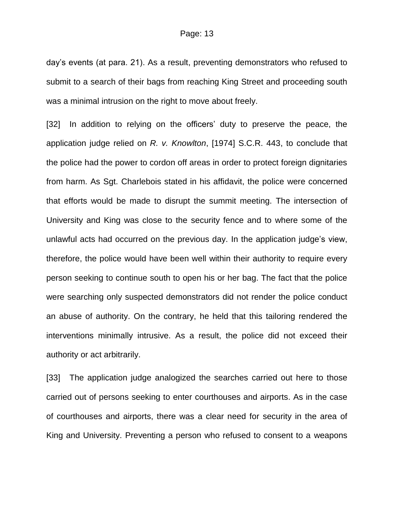day's events (at para. 21). As a result, preventing demonstrators who refused to submit to a search of their bags from reaching King Street and proceeding south was a minimal intrusion on the right to move about freely.

[32] In addition to relying on the officers' duty to preserve the peace, the application judge relied on *R. v. Knowlton*, [1974] S.C.R. 443, to conclude that the police had the power to cordon off areas in order to protect foreign dignitaries from harm. As Sgt. Charlebois stated in his affidavit, the police were concerned that efforts would be made to disrupt the summit meeting. The intersection of University and King was close to the security fence and to where some of the unlawful acts had occurred on the previous day. In the application judge's view, therefore, the police would have been well within their authority to require every person seeking to continue south to open his or her bag. The fact that the police were searching only suspected demonstrators did not render the police conduct an abuse of authority. On the contrary, he held that this tailoring rendered the interventions minimally intrusive. As a result, the police did not exceed their authority or act arbitrarily.

[33] The application judge analogized the searches carried out here to those carried out of persons seeking to enter courthouses and airports. As in the case of courthouses and airports, there was a clear need for security in the area of King and University. Preventing a person who refused to consent to a weapons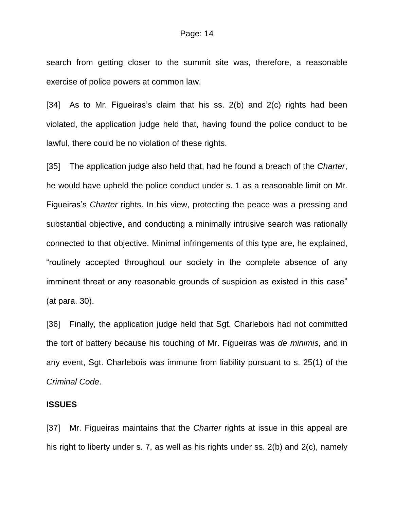search from getting closer to the summit site was, therefore, a reasonable exercise of police powers at common law.

[34] As to Mr. Figueiras's claim that his ss. 2(b) and 2(c) rights had been violated, the application judge held that, having found the police conduct to be lawful, there could be no violation of these rights.

[35] The application judge also held that, had he found a breach of the *Charter*, he would have upheld the police conduct under s. 1 as a reasonable limit on Mr. Figueiras's *Charter* rights. In his view, protecting the peace was a pressing and substantial objective, and conducting a minimally intrusive search was rationally connected to that objective. Minimal infringements of this type are, he explained, "routinely accepted throughout our society in the complete absence of any imminent threat or any reasonable grounds of suspicion as existed in this case" (at para. 30).

[36] Finally, the application judge held that Sgt. Charlebois had not committed the tort of battery because his touching of Mr. Figueiras was *de minimis*, and in any event, Sgt. Charlebois was immune from liability pursuant to s. 25(1) of the *Criminal Code*.

## **ISSUES**

[37] Mr. Figueiras maintains that the *Charter* rights at issue in this appeal are his right to liberty under s. 7, as well as his rights under ss. 2(b) and 2(c), namely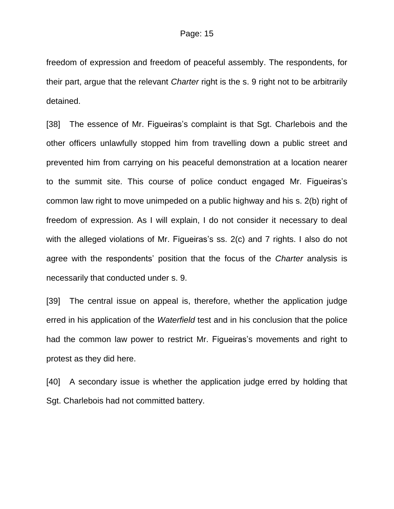freedom of expression and freedom of peaceful assembly. The respondents, for their part, argue that the relevant *Charter* right is the s. 9 right not to be arbitrarily detained.

[38] The essence of Mr. Figueiras's complaint is that Sgt. Charlebois and the other officers unlawfully stopped him from travelling down a public street and prevented him from carrying on his peaceful demonstration at a location nearer to the summit site. This course of police conduct engaged Mr. Figueiras's common law right to move unimpeded on a public highway and his s. 2(b) right of freedom of expression. As I will explain, I do not consider it necessary to deal with the alleged violations of Mr. Figueiras's ss. 2(c) and 7 rights. I also do not agree with the respondents' position that the focus of the *Charter* analysis is necessarily that conducted under s. 9.

[39] The central issue on appeal is, therefore, whether the application judge erred in his application of the *Waterfield* test and in his conclusion that the police had the common law power to restrict Mr. Figueiras's movements and right to protest as they did here.

[40] A secondary issue is whether the application judge erred by holding that Sgt. Charlebois had not committed battery.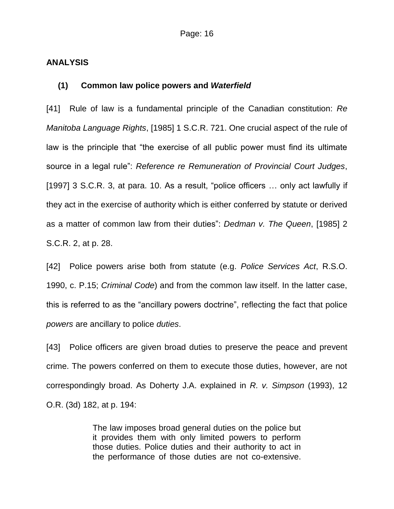### **ANALYSIS**

#### **(1) Common law police powers and** *Waterfield*

[41] Rule of law is a fundamental principle of the Canadian constitution: *Re Manitoba Language Rights*, [1985] 1 S.C.R. 721. One crucial aspect of the rule of law is the principle that "the exercise of all public power must find its ultimate source in a legal rule": *Reference re Remuneration of Provincial Court Judges*, [1997] 3 S.C.R. 3, at para. 10. As a result, "police officers ... only act lawfully if they act in the exercise of authority which is either conferred by statute or derived as a matter of common law from their duties": *Dedman v. The Queen*, [1985] 2 S.C.R. 2, at p. 28.

[42] Police powers arise both from statute (e.g. *Police Services Act*, R.S.O. 1990, c. P.15; *Criminal Code*) and from the common law itself. In the latter case, this is referred to as the "ancillary powers doctrine", reflecting the fact that police *powers* are ancillary to police *duties*.

[43] Police officers are given broad duties to preserve the peace and prevent crime. The powers conferred on them to execute those duties, however, are not correspondingly broad. As Doherty J.A. explained in *R. v. Simpson* (1993), 12 O.R. (3d) 182, at p. 194:

> The law imposes broad general duties on the police but it provides them with only limited powers to perform those duties. Police duties and their authority to act in the performance of those duties are not co-extensive.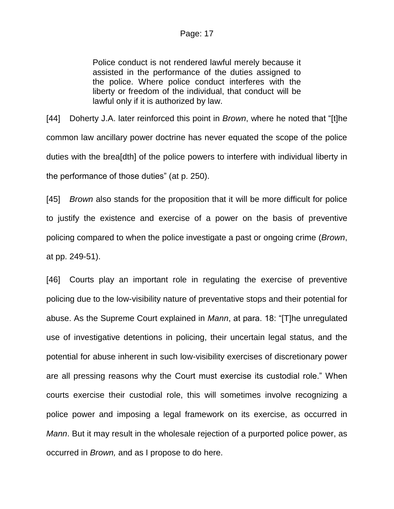# Page: 17

Police conduct is not rendered lawful merely because it assisted in the performance of the duties assigned to the police. Where police conduct interferes with the liberty or freedom of the individual, that conduct will be lawful only if it is authorized by law.

[44] Doherty J.A. later reinforced this point in *Brown*, where he noted that "[t]he common law ancillary power doctrine has never equated the scope of the police duties with the brea[dth] of the police powers to interfere with individual liberty in the performance of those duties" (at p. 250).

[45] *Brown* also stands for the proposition that it will be more difficult for police to justify the existence and exercise of a power on the basis of preventive policing compared to when the police investigate a past or ongoing crime (*Brown*, at pp. 249-51).

[46] Courts play an important role in regulating the exercise of preventive policing due to the low-visibility nature of preventative stops and their potential for abuse. As the Supreme Court explained in *Mann*, at para. 18: "[T]he unregulated use of investigative detentions in policing, their uncertain legal status, and the potential for abuse inherent in such low-visibility exercises of discretionary power are all pressing reasons why the Court must exercise its custodial role." When courts exercise their custodial role, this will sometimes involve recognizing a police power and imposing a legal framework on its exercise, as occurred in *Mann*. But it may result in the wholesale rejection of a purported police power, as occurred in *Brown,* and as I propose to do here.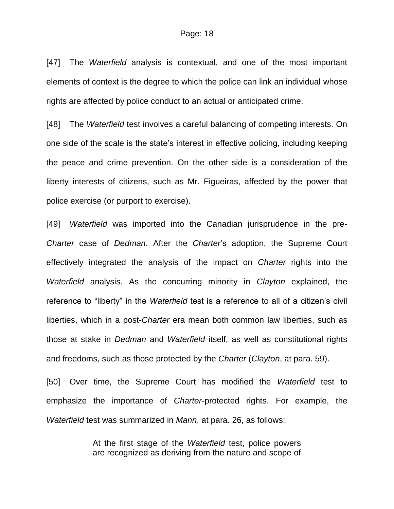#### Page: 18

[47] The *Waterfield* analysis is contextual, and one of the most important elements of context is the degree to which the police can link an individual whose rights are affected by police conduct to an actual or anticipated crime.

[48] The *Waterfield* test involves a careful balancing of competing interests. On one side of the scale is the state's interest in effective policing, including keeping the peace and crime prevention. On the other side is a consideration of the liberty interests of citizens, such as Mr. Figueiras, affected by the power that police exercise (or purport to exercise).

[49] *Waterfield* was imported into the Canadian jurisprudence in the pre-*Charter* case of *Dedman*. After the *Charter*'s adoption, the Supreme Court effectively integrated the analysis of the impact on *Charter* rights into the *Waterfield* analysis. As the concurring minority in *Clayton* explained, the reference to "liberty" in the *Waterfield* test is a reference to all of a citizen's civil liberties, which in a post-*Charter* era mean both common law liberties, such as those at stake in *Dedman* and *Waterfield* itself, as well as constitutional rights and freedoms, such as those protected by the *Charter* (*Clayton*, at para. 59).

[50] Over time, the Supreme Court has modified the *Waterfield* test to emphasize the importance of *Charter*-protected rights. For example, the *Waterfield* test was summarized in *Mann*, at para. 26, as follows:

> At the first stage of the *Waterfield* test, police powers are recognized as deriving from the nature and scope of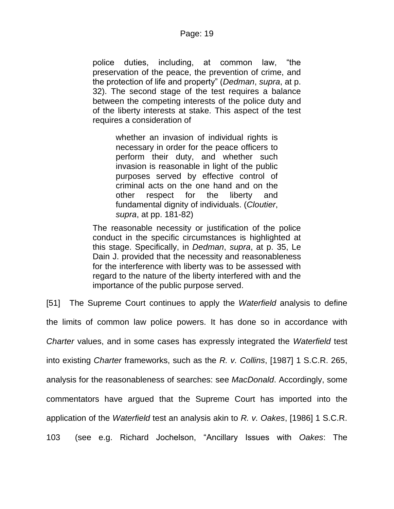police duties, including, at common law, "the preservation of the peace, the prevention of crime, and the protection of life and property" (*Dedman*, *supra*, at p. 32). The second stage of the test requires a balance between the competing interests of the police duty and of the liberty interests at stake. This aspect of the test requires a consideration of

> whether an invasion of individual rights is necessary in order for the peace officers to perform their duty, and whether such invasion is reasonable in light of the public purposes served by effective control of criminal acts on the one hand and on the other respect for the liberty and fundamental dignity of individuals. (*Cloutier*, *supra*, at pp. 181-82)

The reasonable necessity or justification of the police conduct in the specific circumstances is highlighted at this stage. Specifically, in *Dedman*, *supra*, at p. 35, Le Dain J. provided that the necessity and reasonableness for the interference with liberty was to be assessed with regard to the nature of the liberty interfered with and the importance of the public purpose served.

[51] The Supreme Court continues to apply the *Waterfield* analysis to define the limits of common law police powers. It has done so in accordance with *Charter* values, and in some cases has expressly integrated the *Waterfield* test into existing *Charter* frameworks, such as the *R. v. Collins*, [1987] 1 S.C.R. 265, analysis for the reasonableness of searches: see *MacDonald*. Accordingly, some commentators have argued that the Supreme Court has imported into the application of the *Waterfield* test an analysis akin to *R. v. Oakes*, [1986] 1 S.C.R. 103 (see e.g. Richard Jochelson, "Ancillary Issues with *Oakes*: The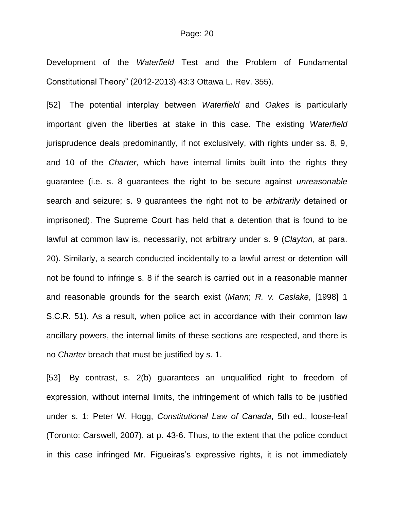Development of the *Waterfield* Test and the Problem of Fundamental Constitutional Theory" (2012-2013) 43:3 Ottawa L. Rev. 355).

[52] The potential interplay between *Waterfield* and *Oakes* is particularly important given the liberties at stake in this case. The existing *Waterfield* jurisprudence deals predominantly, if not exclusively, with rights under ss. 8, 9, and 10 of the *Charter*, which have internal limits built into the rights they guarantee (i.e. s. 8 guarantees the right to be secure against *unreasonable* search and seizure; s. 9 guarantees the right not to be *arbitrarily* detained or imprisoned). The Supreme Court has held that a detention that is found to be lawful at common law is, necessarily, not arbitrary under s. 9 (*Clayton*, at para. 20). Similarly, a search conducted incidentally to a lawful arrest or detention will not be found to infringe s. 8 if the search is carried out in a reasonable manner and reasonable grounds for the search exist (*Mann*; *R. v. Caslake*, [1998] 1 S.C.R. 51). As a result, when police act in accordance with their common law ancillary powers, the internal limits of these sections are respected, and there is no *Charter* breach that must be justified by s. 1.

[53] By contrast, s. 2(b) guarantees an unqualified right to freedom of expression, without internal limits, the infringement of which falls to be justified under s. 1: Peter W. Hogg, *Constitutional Law of Canada*, 5th ed., loose-leaf (Toronto: Carswell, 2007), at p. 43-6. Thus, to the extent that the police conduct in this case infringed Mr. Figueiras's expressive rights, it is not immediately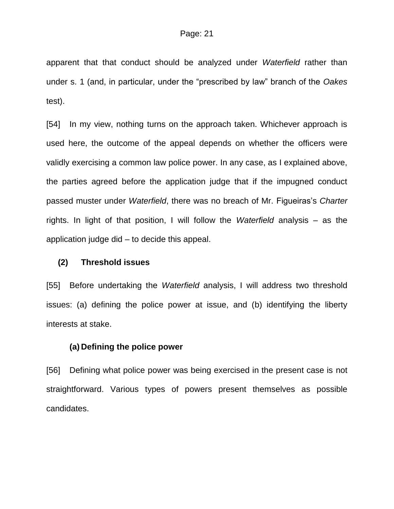apparent that that conduct should be analyzed under *Waterfield* rather than under s. 1 (and, in particular, under the "prescribed by law" branch of the *Oakes*  test).

[54] In my view, nothing turns on the approach taken. Whichever approach is used here, the outcome of the appeal depends on whether the officers were validly exercising a common law police power. In any case, as I explained above, the parties agreed before the application judge that if the impugned conduct passed muster under *Waterfield*, there was no breach of Mr. Figueiras's *Charter*  rights. In light of that position, I will follow the *Waterfield* analysis – as the application judge did – to decide this appeal.

# **(2) Threshold issues**

[55] Before undertaking the *Waterfield* analysis, I will address two threshold issues: (a) defining the police power at issue, and (b) identifying the liberty interests at stake.

## **(a) Defining the police power**

[56] Defining what police power was being exercised in the present case is not straightforward. Various types of powers present themselves as possible candidates.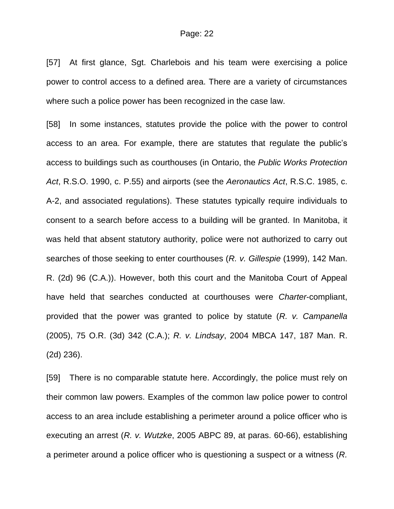[57] At first glance, Sgt. Charlebois and his team were exercising a police power to control access to a defined area. There are a variety of circumstances where such a police power has been recognized in the case law.

[58] In some instances, statutes provide the police with the power to control access to an area. For example, there are statutes that regulate the public's access to buildings such as courthouses (in Ontario, the *Public Works Protection Act*, R.S.O. 1990, c. P.55) and airports (see the *Aeronautics Act*, R.S.C. 1985, c. A-2, and associated regulations). These statutes typically require individuals to consent to a search before access to a building will be granted. In Manitoba, it was held that absent statutory authority, police were not authorized to carry out searches of those seeking to enter courthouses (*R. v. Gillespie* (1999), 142 Man. R. (2d) 96 (C.A.)). However, both this court and the Manitoba Court of Appeal have held that searches conducted at courthouses were *Charter*-compliant, provided that the power was granted to police by statute (*R. v. Campanella* (2005), 75 O.R. (3d) 342 (C.A.); *R. v. Lindsay*, 2004 MBCA 147, 187 Man. R. (2d) 236).

[59] There is no comparable statute here. Accordingly, the police must rely on their common law powers. Examples of the common law police power to control access to an area include establishing a perimeter around a police officer who is executing an arrest (*R. v. Wutzke*, 2005 ABPC 89, at paras. 60-66), establishing a perimeter around a police officer who is questioning a suspect or a witness (*R.*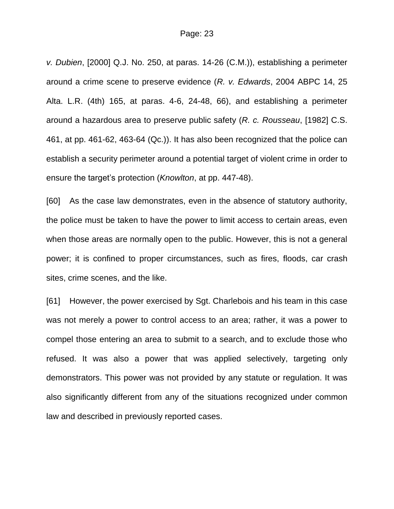*v. Dubien*, [2000] Q.J. No. 250, at paras. 14-26 (C.M.)), establishing a perimeter around a crime scene to preserve evidence (*R. v. Edwards*, 2004 ABPC 14, 25 Alta. L.R. (4th) 165, at paras. 4-6, 24-48, 66), and establishing a perimeter around a hazardous area to preserve public safety (*R. c. Rousseau*, [1982] C.S. 461, at pp. 461-62, 463-64 (Qc.)). It has also been recognized that the police can establish a security perimeter around a potential target of violent crime in order to ensure the target's protection (*Knowlton*, at pp. 447-48).

[60] As the case law demonstrates, even in the absence of statutory authority, the police must be taken to have the power to limit access to certain areas, even when those areas are normally open to the public. However, this is not a general power; it is confined to proper circumstances, such as fires, floods, car crash sites, crime scenes, and the like.

[61] However, the power exercised by Sgt. Charlebois and his team in this case was not merely a power to control access to an area; rather, it was a power to compel those entering an area to submit to a search, and to exclude those who refused. It was also a power that was applied selectively, targeting only demonstrators. This power was not provided by any statute or regulation. It was also significantly different from any of the situations recognized under common law and described in previously reported cases.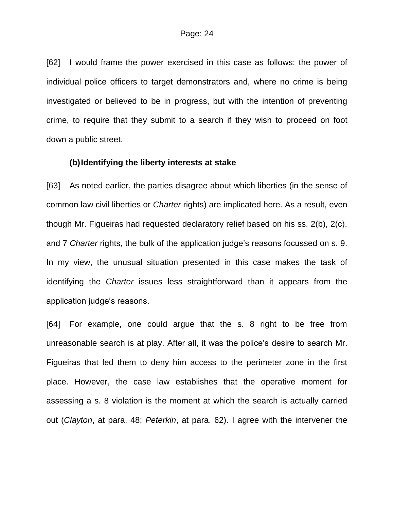[62] I would frame the power exercised in this case as follows: the power of individual police officers to target demonstrators and, where no crime is being investigated or believed to be in progress, but with the intention of preventing crime, to require that they submit to a search if they wish to proceed on foot down a public street.

#### **(b)Identifying the liberty interests at stake**

[63] As noted earlier, the parties disagree about which liberties (in the sense of common law civil liberties or *Charter* rights) are implicated here. As a result, even though Mr. Figueiras had requested declaratory relief based on his ss. 2(b), 2(c), and 7 *Charter* rights, the bulk of the application judge's reasons focussed on s. 9. In my view, the unusual situation presented in this case makes the task of identifying the *Charter* issues less straightforward than it appears from the application judge's reasons.

[64] For example, one could argue that the s. 8 right to be free from unreasonable search is at play. After all, it was the police's desire to search Mr. Figueiras that led them to deny him access to the perimeter zone in the first place. However, the case law establishes that the operative moment for assessing a s. 8 violation is the moment at which the search is actually carried out (*Clayton*, at para. 48; *Peterkin*, at para. 62). I agree with the intervener the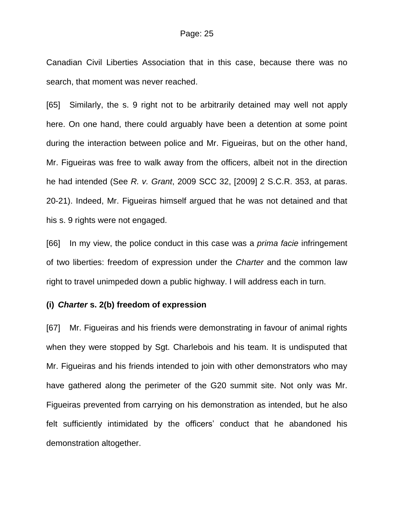Canadian Civil Liberties Association that in this case, because there was no search, that moment was never reached.

[65] Similarly, the s. 9 right not to be arbitrarily detained may well not apply here. On one hand, there could arguably have been a detention at some point during the interaction between police and Mr. Figueiras, but on the other hand, Mr. Figueiras was free to walk away from the officers, albeit not in the direction he had intended (See *R. v. Grant*, 2009 SCC 32, [2009] 2 S.C.R. 353, at paras. 20-21). Indeed, Mr. Figueiras himself argued that he was not detained and that his s. 9 rights were not engaged.

[66] In my view, the police conduct in this case was a *prima facie* infringement of two liberties: freedom of expression under the *Charter* and the common law right to travel unimpeded down a public highway. I will address each in turn.

#### **(i)** *Charter* **s. 2(b) freedom of expression**

[67] Mr. Figueiras and his friends were demonstrating in favour of animal rights when they were stopped by Sgt. Charlebois and his team. It is undisputed that Mr. Figueiras and his friends intended to join with other demonstrators who may have gathered along the perimeter of the G20 summit site. Not only was Mr. Figueiras prevented from carrying on his demonstration as intended, but he also felt sufficiently intimidated by the officers' conduct that he abandoned his demonstration altogether.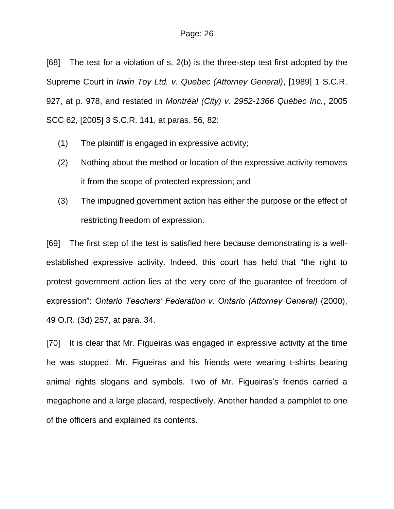[68] The test for a violation of s. 2(b) is the three-step test first adopted by the Supreme Court in *Irwin Toy Ltd. v. Quebec (Attorney General)*, [1989] 1 S.C.R. 927, at p. 978, and restated in *Montréal (City) v. 2952-1366 Québec Inc.*, 2005 SCC 62, [2005] 3 S.C.R. 141, at paras. 56, 82:

- (1) The plaintiff is engaged in expressive activity;
- (2) Nothing about the method or location of the expressive activity removes it from the scope of protected expression; and
- (3) The impugned government action has either the purpose or the effect of restricting freedom of expression.

[69] The first step of the test is satisfied here because demonstrating is a wellestablished expressive activity. Indeed, this court has held that "the right to protest government action lies at the very core of the guarantee of freedom of expression": *Ontario Teachers' Federation v. Ontario (Attorney General)* (2000), 49 O.R. (3d) 257, at para. 34.

[70] It is clear that Mr. Figueiras was engaged in expressive activity at the time he was stopped. Mr. Figueiras and his friends were wearing t-shirts bearing animal rights slogans and symbols. Two of Mr. Figueiras's friends carried a megaphone and a large placard, respectively. Another handed a pamphlet to one of the officers and explained its contents.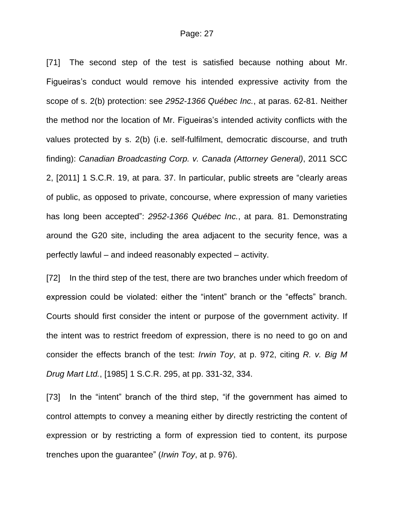[71] The second step of the test is satisfied because nothing about Mr. Figueiras's conduct would remove his intended expressive activity from the scope of s. 2(b) protection: see *2952-1366 Québec Inc.*, at paras. 62-81. Neither the method nor the location of Mr. Figueiras's intended activity conflicts with the values protected by s. 2(b) (i.e. self-fulfilment, democratic discourse, and truth finding): *Canadian Broadcasting Corp. v. Canada (Attorney General)*, 2011 SCC 2, [2011] 1 S.C.R. 19, at para. 37. In particular, public streets are "clearly areas of public, as opposed to private, concourse, where expression of many varieties has long been accepted": *2952-1366 Québec Inc.*, at para. 81. Demonstrating around the G20 site, including the area adjacent to the security fence, was a perfectly lawful – and indeed reasonably expected – activity.

[72] In the third step of the test, there are two branches under which freedom of expression could be violated: either the "intent" branch or the "effects" branch. Courts should first consider the intent or purpose of the government activity. If the intent was to restrict freedom of expression, there is no need to go on and consider the effects branch of the test: *Irwin Toy*, at p. 972, citing *R. v. Big M Drug Mart Ltd.*, [1985] 1 S.C.R. 295, at pp. 331-32, 334.

[73] In the "intent" branch of the third step, "if the government has aimed to control attempts to convey a meaning either by directly restricting the content of expression or by restricting a form of expression tied to content, its purpose trenches upon the guarantee" (*Irwin Toy*, at p. 976).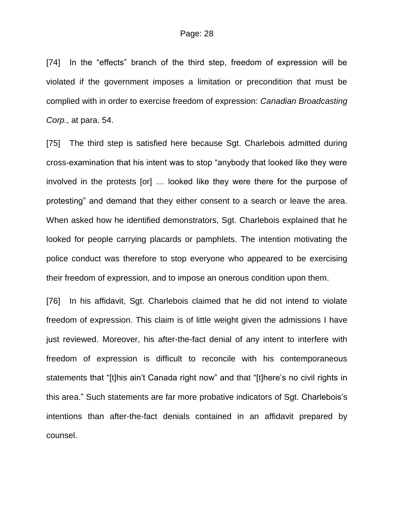[74] In the "effects" branch of the third step, freedom of expression will be violated if the government imposes a limitation or precondition that must be complied with in order to exercise freedom of expression: *Canadian Broadcasting Corp.*, at para. 54.

[75] The third step is satisfied here because Sgt. Charlebois admitted during cross-examination that his intent was to stop "anybody that looked like they were involved in the protests [or] … looked like they were there for the purpose of protesting" and demand that they either consent to a search or leave the area. When asked how he identified demonstrators, Sgt. Charlebois explained that he looked for people carrying placards or pamphlets. The intention motivating the police conduct was therefore to stop everyone who appeared to be exercising their freedom of expression, and to impose an onerous condition upon them.

[76] In his affidavit, Sqt. Charlebois claimed that he did not intend to violate freedom of expression. This claim is of little weight given the admissions I have just reviewed. Moreover, his after-the-fact denial of any intent to interfere with freedom of expression is difficult to reconcile with his contemporaneous statements that "[t]his ain't Canada right now" and that "[t]here's no civil rights in this area." Such statements are far more probative indicators of Sgt. Charlebois's intentions than after-the-fact denials contained in an affidavit prepared by counsel.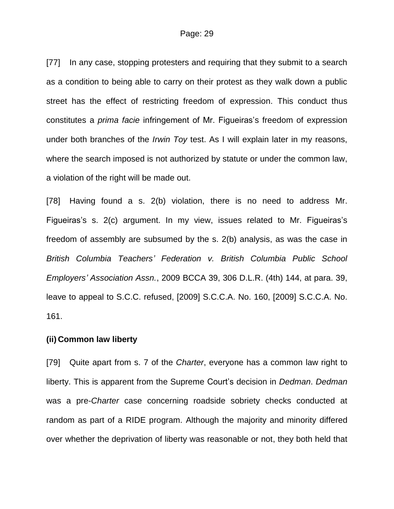[77] In any case, stopping protesters and requiring that they submit to a search as a condition to being able to carry on their protest as they walk down a public street has the effect of restricting freedom of expression. This conduct thus constitutes a *prima facie* infringement of Mr. Figueiras's freedom of expression under both branches of the *Irwin Toy* test. As I will explain later in my reasons, where the search imposed is not authorized by statute or under the common law, a violation of the right will be made out.

[78] Having found a s. 2(b) violation, there is no need to address Mr. Figueiras's s. 2(c) argument. In my view, issues related to Mr. Figueiras's freedom of assembly are subsumed by the s. 2(b) analysis, as was the case in *British Columbia Teachers' Federation v. British Columbia Public School Employers' Association Assn.*, 2009 BCCA 39, 306 D.L.R. (4th) 144, at para. 39, leave to appeal to S.C.C. refused, [2009] S.C.C.A. No. 160, [2009] S.C.C.A. No. 161.

## **(ii) Common law liberty**

[79] Quite apart from s. 7 of the *Charter*, everyone has a common law right to liberty. This is apparent from the Supreme Court's decision in *Dedman*. *Dedman* was a pre-*Charter* case concerning roadside sobriety checks conducted at random as part of a RIDE program. Although the majority and minority differed over whether the deprivation of liberty was reasonable or not, they both held that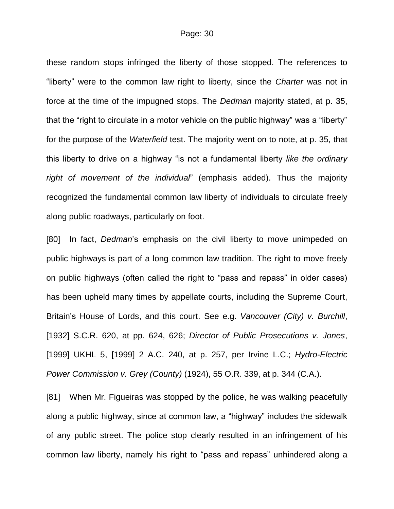these random stops infringed the liberty of those stopped. The references to "liberty" were to the common law right to liberty, since the *Charter* was not in force at the time of the impugned stops. The *Dedman* majority stated, at p. 35, that the "right to circulate in a motor vehicle on the public highway" was a "liberty" for the purpose of the *Waterfield* test. The majority went on to note, at p. 35, that this liberty to drive on a highway "is not a fundamental liberty *like the ordinary right of movement of the individual*" (emphasis added). Thus the majority recognized the fundamental common law liberty of individuals to circulate freely along public roadways, particularly on foot.

[80] In fact, *Dedman*'s emphasis on the civil liberty to move unimpeded on public highways is part of a long common law tradition. The right to move freely on public highways (often called the right to "pass and repass" in older cases) has been upheld many times by appellate courts, including the Supreme Court, Britain's House of Lords, and this court. See e.g. *Vancouver (City) v. Burchill*, [1932] S.C.R. 620, at pp. 624, 626; *Director of Public Prosecutions v. Jones*, [1999] UKHL 5, [1999] 2 A.C. 240, at p. 257, per Irvine L.C.; *Hydro-Electric Power Commission v. Grey (County)* (1924), 55 O.R. 339, at p. 344 (C.A.).

[81] When Mr. Figueiras was stopped by the police, he was walking peacefully along a public highway, since at common law, a "highway" includes the sidewalk of any public street. The police stop clearly resulted in an infringement of his common law liberty, namely his right to "pass and repass" unhindered along a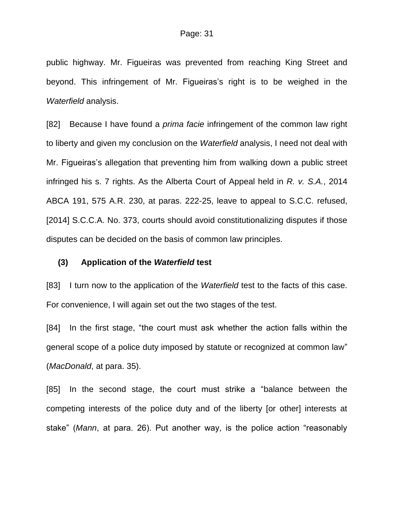public highway. Mr. Figueiras was prevented from reaching King Street and beyond. This infringement of Mr. Figueiras's right is to be weighed in the *Waterfield* analysis.

[82] Because I have found a *prima facie* infringement of the common law right to liberty and given my conclusion on the *Waterfield* analysis, I need not deal with Mr. Figueiras's allegation that preventing him from walking down a public street infringed his s. 7 rights. As the Alberta Court of Appeal held in *R. v. S.A.*, 2014 ABCA 191, 575 A.R. 230, at paras. 222-25, leave to appeal to S.C.C. refused, [2014] S.C.C.A. No. 373, courts should avoid constitutionalizing disputes if those disputes can be decided on the basis of common law principles.

#### **(3) Application of the** *Waterfield* **test**

[83] I turn now to the application of the *Waterfield* test to the facts of this case. For convenience, I will again set out the two stages of the test.

[84] In the first stage, "the court must ask whether the action falls within the general scope of a police duty imposed by statute or recognized at common law" (*MacDonald*, at para. 35).

[85] In the second stage, the court must strike a "balance between the competing interests of the police duty and of the liberty [or other] interests at stake" (*Mann*, at para. 26). Put another way, is the police action "reasonably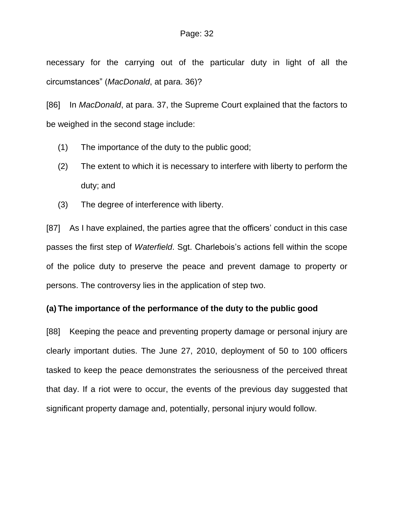necessary for the carrying out of the particular duty in light of all the circumstances" (*MacDonald*, at para. 36)?

[86] In *MacDonald*, at para. 37, the Supreme Court explained that the factors to be weighed in the second stage include:

- (1) The importance of the duty to the public good;
- (2) The extent to which it is necessary to interfere with liberty to perform the duty; and
- (3) The degree of interference with liberty.

[87] As I have explained, the parties agree that the officers' conduct in this case passes the first step of *Waterfield*. Sgt. Charlebois's actions fell within the scope of the police duty to preserve the peace and prevent damage to property or persons. The controversy lies in the application of step two.

# **(a) The importance of the performance of the duty to the public good**

[88] Keeping the peace and preventing property damage or personal injury are clearly important duties. The June 27, 2010, deployment of 50 to 100 officers tasked to keep the peace demonstrates the seriousness of the perceived threat that day. If a riot were to occur, the events of the previous day suggested that significant property damage and, potentially, personal injury would follow.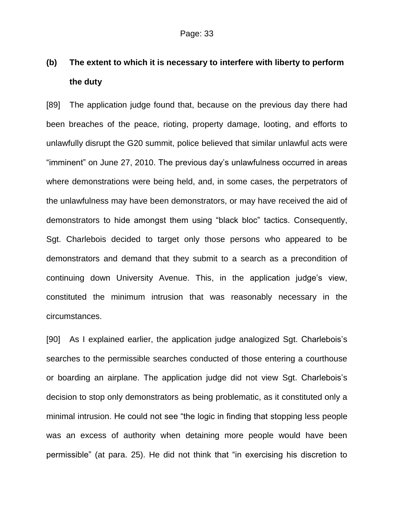# **(b) The extent to which it is necessary to interfere with liberty to perform the duty**

[89] The application judge found that, because on the previous day there had been breaches of the peace, rioting, property damage, looting, and efforts to unlawfully disrupt the G20 summit, police believed that similar unlawful acts were "imminent" on June 27, 2010. The previous day's unlawfulness occurred in areas where demonstrations were being held, and, in some cases, the perpetrators of the unlawfulness may have been demonstrators, or may have received the aid of demonstrators to hide amongst them using "black bloc" tactics. Consequently, Sgt. Charlebois decided to target only those persons who appeared to be demonstrators and demand that they submit to a search as a precondition of continuing down University Avenue. This, in the application judge's view, constituted the minimum intrusion that was reasonably necessary in the circumstances.

[90] As I explained earlier, the application judge analogized Sgt. Charlebois's searches to the permissible searches conducted of those entering a courthouse or boarding an airplane. The application judge did not view Sgt. Charlebois's decision to stop only demonstrators as being problematic, as it constituted only a minimal intrusion. He could not see "the logic in finding that stopping less people was an excess of authority when detaining more people would have been permissible" (at para. 25). He did not think that "in exercising his discretion to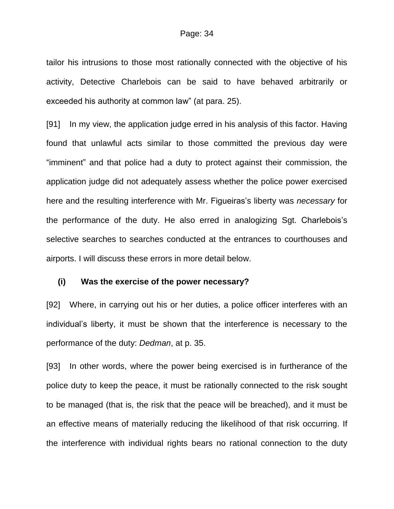tailor his intrusions to those most rationally connected with the objective of his activity, Detective Charlebois can be said to have behaved arbitrarily or exceeded his authority at common law" (at para. 25).

[91] In my view, the application judge erred in his analysis of this factor. Having found that unlawful acts similar to those committed the previous day were "imminent" and that police had a duty to protect against their commission, the application judge did not adequately assess whether the police power exercised here and the resulting interference with Mr. Figueiras's liberty was *necessary* for the performance of the duty. He also erred in analogizing Sgt. Charlebois's selective searches to searches conducted at the entrances to courthouses and airports. I will discuss these errors in more detail below.

#### **(i) Was the exercise of the power necessary?**

[92] Where, in carrying out his or her duties, a police officer interferes with an individual's liberty, it must be shown that the interference is necessary to the performance of the duty: *Dedman*, at p. 35.

[93] In other words, where the power being exercised is in furtherance of the police duty to keep the peace, it must be rationally connected to the risk sought to be managed (that is, the risk that the peace will be breached), and it must be an effective means of materially reducing the likelihood of that risk occurring. If the interference with individual rights bears no rational connection to the duty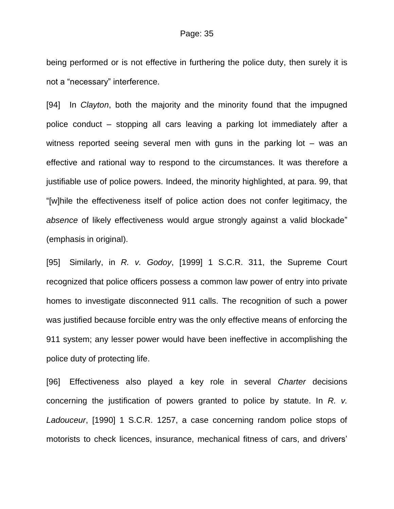being performed or is not effective in furthering the police duty, then surely it is not a "necessary" interference.

[94] In *Clayton*, both the majority and the minority found that the impugned police conduct – stopping all cars leaving a parking lot immediately after a witness reported seeing several men with guns in the parking lot – was an effective and rational way to respond to the circumstances. It was therefore a justifiable use of police powers. Indeed, the minority highlighted, at para. 99, that "[w]hile the effectiveness itself of police action does not confer legitimacy, the *absence* of likely effectiveness would argue strongly against a valid blockade" (emphasis in original).

[95] Similarly, in *R. v. Godoy*, [1999] 1 S.C.R. 311, the Supreme Court recognized that police officers possess a common law power of entry into private homes to investigate disconnected 911 calls. The recognition of such a power was justified because forcible entry was the only effective means of enforcing the 911 system; any lesser power would have been ineffective in accomplishing the police duty of protecting life.

[96] Effectiveness also played a key role in several *Charter* decisions concerning the justification of powers granted to police by statute. In *R. v. Ladouceur*, [1990] 1 S.C.R. 1257, a case concerning random police stops of motorists to check licences, insurance, mechanical fitness of cars, and drivers'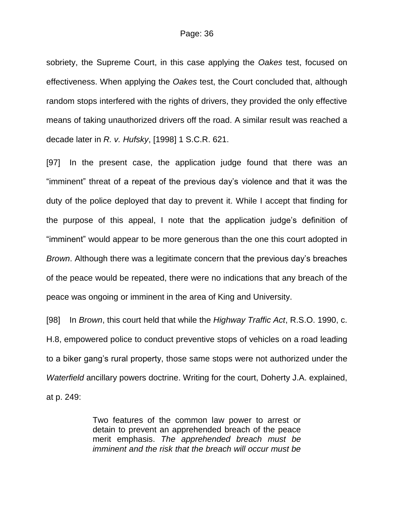sobriety, the Supreme Court, in this case applying the *Oakes* test, focused on effectiveness. When applying the *Oakes* test, the Court concluded that, although random stops interfered with the rights of drivers, they provided the only effective means of taking unauthorized drivers off the road. A similar result was reached a decade later in *R. v. Hufsky*, [1998] 1 S.C.R. 621.

[97] In the present case, the application judge found that there was an "imminent" threat of a repeat of the previous day's violence and that it was the duty of the police deployed that day to prevent it. While I accept that finding for the purpose of this appeal, I note that the application judge's definition of "imminent" would appear to be more generous than the one this court adopted in *Brown*. Although there was a legitimate concern that the previous day's breaches of the peace would be repeated, there were no indications that any breach of the peace was ongoing or imminent in the area of King and University.

[98] In *Brown*, this court held that while the *Highway Traffic Act*, R.S.O. 1990, c. H.8, empowered police to conduct preventive stops of vehicles on a road leading to a biker gang's rural property, those same stops were not authorized under the *Waterfield* ancillary powers doctrine. Writing for the court, Doherty J.A. explained, at p. 249:

> Two features of the common law power to arrest or detain to prevent an apprehended breach of the peace merit emphasis. *The apprehended breach must be imminent and the risk that the breach will occur must be*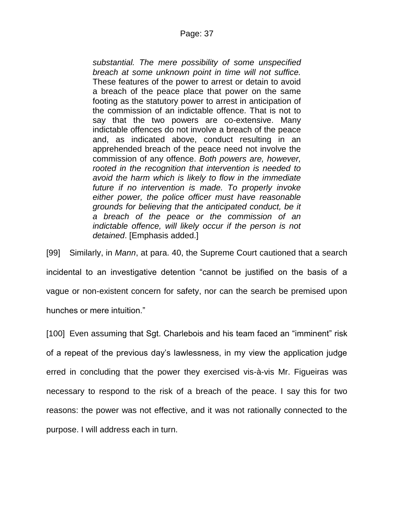# Page: 37

*substantial. The mere possibility of some unspecified breach at some unknown point in time will not suffice.*  These features of the power to arrest or detain to avoid a breach of the peace place that power on the same footing as the statutory power to arrest in anticipation of the commission of an indictable offence. That is not to say that the two powers are co-extensive. Many indictable offences do not involve a breach of the peace and, as indicated above, conduct resulting in an apprehended breach of the peace need not involve the commission of any offence. *Both powers are, however, rooted in the recognition that intervention is needed to avoid the harm which is likely to flow in the immediate future if no intervention is made. To properly invoke either power, the police officer must have reasonable grounds for believing that the anticipated conduct, be it a breach of the peace or the commission of an indictable offence, will likely occur if the person is not detained*. [Emphasis added.]

[99] Similarly, in *Mann*, at para. 40, the Supreme Court cautioned that a search incidental to an investigative detention "cannot be justified on the basis of a vague or non-existent concern for safety, nor can the search be premised upon hunches or mere intuition."

[100] Even assuming that Sgt. Charlebois and his team faced an "imminent" risk of a repeat of the previous day's lawlessness, in my view the application judge erred in concluding that the power they exercised vis-à-vis Mr. Figueiras was necessary to respond to the risk of a breach of the peace. I say this for two reasons: the power was not effective, and it was not rationally connected to the purpose. I will address each in turn.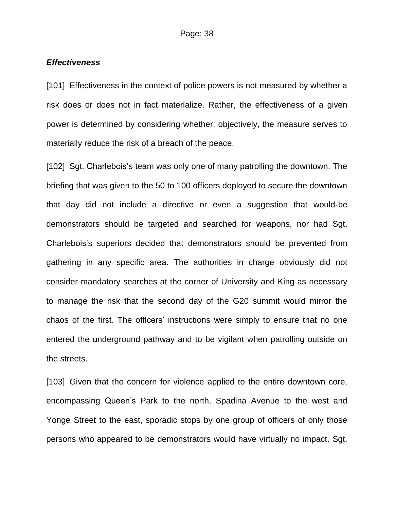#### *Effectiveness*

[101] Effectiveness in the context of police powers is not measured by whether a risk does or does not in fact materialize. Rather, the effectiveness of a given power is determined by considering whether, objectively, the measure serves to materially reduce the risk of a breach of the peace.

[102] Sgt. Charlebois's team was only one of many patrolling the downtown. The briefing that was given to the 50 to 100 officers deployed to secure the downtown that day did not include a directive or even a suggestion that would-be demonstrators should be targeted and searched for weapons, nor had Sgt. Charlebois's superiors decided that demonstrators should be prevented from gathering in any specific area. The authorities in charge obviously did not consider mandatory searches at the corner of University and King as necessary to manage the risk that the second day of the G20 summit would mirror the chaos of the first. The officers' instructions were simply to ensure that no one entered the underground pathway and to be vigilant when patrolling outside on the streets.

[103] Given that the concern for violence applied to the entire downtown core, encompassing Queen's Park to the north, Spadina Avenue to the west and Yonge Street to the east, sporadic stops by one group of officers of only those persons who appeared to be demonstrators would have virtually no impact. Sgt.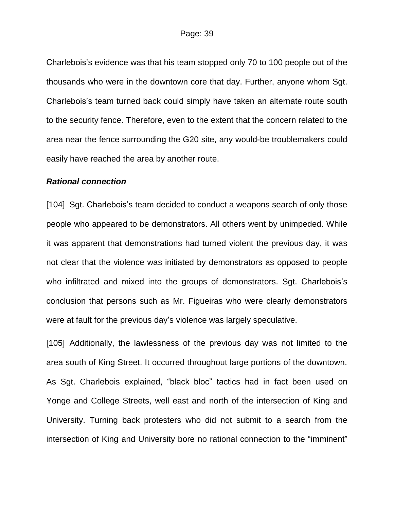Charlebois's evidence was that his team stopped only 70 to 100 people out of the thousands who were in the downtown core that day. Further, anyone whom Sgt. Charlebois's team turned back could simply have taken an alternate route south to the security fence. Therefore, even to the extent that the concern related to the area near the fence surrounding the G20 site, any would-be troublemakers could easily have reached the area by another route.

### *Rational connection*

[104] Sqt. Charlebois's team decided to conduct a weapons search of only those people who appeared to be demonstrators. All others went by unimpeded. While it was apparent that demonstrations had turned violent the previous day, it was not clear that the violence was initiated by demonstrators as opposed to people who infiltrated and mixed into the groups of demonstrators. Sgt. Charlebois's conclusion that persons such as Mr. Figueiras who were clearly demonstrators were at fault for the previous day's violence was largely speculative.

[105] Additionally, the lawlessness of the previous day was not limited to the area south of King Street. It occurred throughout large portions of the downtown. As Sgt. Charlebois explained, "black bloc" tactics had in fact been used on Yonge and College Streets, well east and north of the intersection of King and University. Turning back protesters who did not submit to a search from the intersection of King and University bore no rational connection to the "imminent"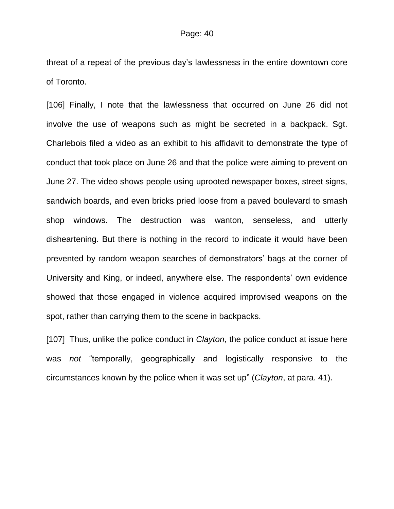threat of a repeat of the previous day's lawlessness in the entire downtown core of Toronto.

[106] Finally, I note that the lawlessness that occurred on June 26 did not involve the use of weapons such as might be secreted in a backpack. Sgt. Charlebois filed a video as an exhibit to his affidavit to demonstrate the type of conduct that took place on June 26 and that the police were aiming to prevent on June 27. The video shows people using uprooted newspaper boxes, street signs, sandwich boards, and even bricks pried loose from a paved boulevard to smash shop windows. The destruction was wanton, senseless, and utterly disheartening. But there is nothing in the record to indicate it would have been prevented by random weapon searches of demonstrators' bags at the corner of University and King, or indeed, anywhere else. The respondents' own evidence showed that those engaged in violence acquired improvised weapons on the spot, rather than carrying them to the scene in backpacks.

[107] Thus, unlike the police conduct in *Clayton*, the police conduct at issue here was *not* "temporally, geographically and logistically responsive to the circumstances known by the police when it was set up" (*Clayton*, at para. 41).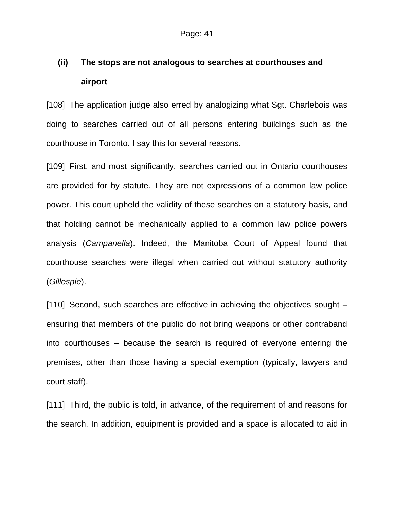# **(ii) The stops are not analogous to searches at courthouses and airport**

[108] The application judge also erred by analogizing what Sgt. Charlebois was doing to searches carried out of all persons entering buildings such as the courthouse in Toronto. I say this for several reasons.

[109] First, and most significantly, searches carried out in Ontario courthouses are provided for by statute. They are not expressions of a common law police power. This court upheld the validity of these searches on a statutory basis, and that holding cannot be mechanically applied to a common law police powers analysis (*Campanella*). Indeed, the Manitoba Court of Appeal found that courthouse searches were illegal when carried out without statutory authority (*Gillespie*).

[110] Second, such searches are effective in achieving the objectives sought – ensuring that members of the public do not bring weapons or other contraband into courthouses – because the search is required of everyone entering the premises, other than those having a special exemption (typically, lawyers and court staff).

[111] Third, the public is told, in advance, of the requirement of and reasons for the search. In addition, equipment is provided and a space is allocated to aid in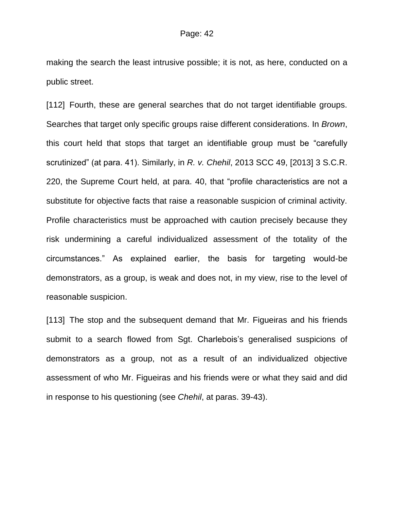making the search the least intrusive possible; it is not, as here, conducted on a public street.

[112] Fourth, these are general searches that do not target identifiable groups. Searches that target only specific groups raise different considerations. In *Brown*, this court held that stops that target an identifiable group must be "carefully scrutinized" (at para. 41). Similarly, in *R. v. Chehil*, 2013 SCC 49, [2013] 3 S.C.R. 220, the Supreme Court held, at para. 40, that "profile characteristics are not a substitute for objective facts that raise a reasonable suspicion of criminal activity. Profile characteristics must be approached with caution precisely because they risk undermining a careful individualized assessment of the totality of the circumstances." As explained earlier, the basis for targeting would-be demonstrators, as a group, is weak and does not, in my view, rise to the level of reasonable suspicion.

[113] The stop and the subsequent demand that Mr. Figueiras and his friends submit to a search flowed from Sgt. Charlebois's generalised suspicions of demonstrators as a group, not as a result of an individualized objective assessment of who Mr. Figueiras and his friends were or what they said and did in response to his questioning (see *Chehil*, at paras. 39-43).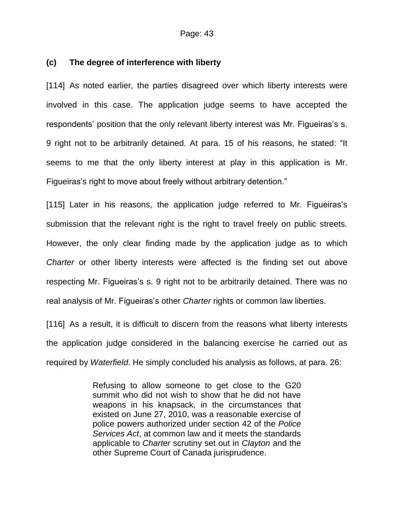# **(c) The degree of interference with liberty**

[114] As noted earlier, the parties disagreed over which liberty interests were involved in this case. The application judge seems to have accepted the respondents' position that the only relevant liberty interest was Mr. Figueiras's s. 9 right not to be arbitrarily detained. At para. 15 of his reasons, he stated: "It seems to me that the only liberty interest at play in this application is Mr. Figueiras's right to move about freely without arbitrary detention."

[115] Later in his reasons, the application judge referred to Mr. Figueiras's submission that the relevant right is the right to travel freely on public streets. However, the only clear finding made by the application judge as to which *Charter* or other liberty interests were affected is the finding set out above respecting Mr. Figueiras's s. 9 right not to be arbitrarily detained. There was no real analysis of Mr. Figueiras's other *Charter* rights or common law liberties.

[116] As a result, it is difficult to discern from the reasons what liberty interests the application judge considered in the balancing exercise he carried out as required by *Waterfield*. He simply concluded his analysis as follows, at para. 26:

> Refusing to allow someone to get close to the G20 summit who did not wish to show that he did not have weapons in his knapsack, in the circumstances that existed on June 27, 2010, was a reasonable exercise of police powers authorized under section 42 of the *Police Services Act*, at common law and it meets the standards applicable to *Charter* scrutiny set out in *Clayton* and the other Supreme Court of Canada jurisprudence.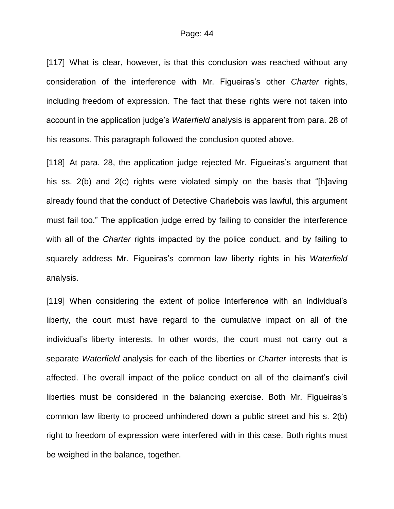[117] What is clear, however, is that this conclusion was reached without any consideration of the interference with Mr. Figueiras's other *Charter* rights, including freedom of expression. The fact that these rights were not taken into account in the application judge's *Waterfield* analysis is apparent from para. 28 of his reasons. This paragraph followed the conclusion quoted above.

[118] At para. 28, the application judge rejected Mr. Figueiras's argument that his ss. 2(b) and 2(c) rights were violated simply on the basis that "[h]aving already found that the conduct of Detective Charlebois was lawful, this argument must fail too." The application judge erred by failing to consider the interference with all of the *Charter* rights impacted by the police conduct, and by failing to squarely address Mr. Figueiras's common law liberty rights in his *Waterfield* analysis.

[119] When considering the extent of police interference with an individual's liberty, the court must have regard to the cumulative impact on all of the individual's liberty interests. In other words, the court must not carry out a separate *Waterfield* analysis for each of the liberties or *Charter* interests that is affected. The overall impact of the police conduct on all of the claimant's civil liberties must be considered in the balancing exercise. Both Mr. Figueiras's common law liberty to proceed unhindered down a public street and his s. 2(b) right to freedom of expression were interfered with in this case. Both rights must be weighed in the balance, together.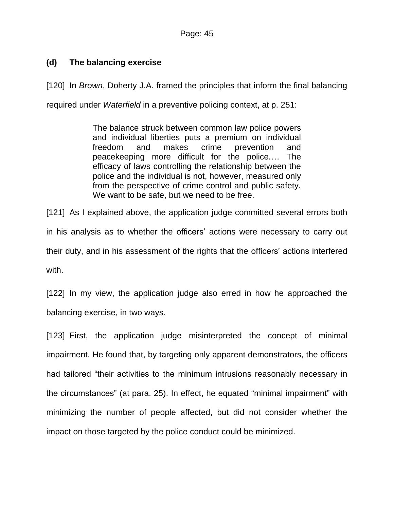# **(d) The balancing exercise**

[120] In *Brown*, Doherty J.A. framed the principles that inform the final balancing required under *Waterfield* in a preventive policing context, at p. 251:

> The balance struck between common law police powers and individual liberties puts a premium on individual freedom and makes crime prevention and peacekeeping more difficult for the police.… The efficacy of laws controlling the relationship between the police and the individual is not, however, measured only from the perspective of crime control and public safety. We want to be safe, but we need to be free.

[121] As I explained above, the application judge committed several errors both in his analysis as to whether the officers' actions were necessary to carry out their duty, and in his assessment of the rights that the officers' actions interfered with.

[122] In my view, the application judge also erred in how he approached the balancing exercise, in two ways.

[123] First, the application judge misinterpreted the concept of minimal impairment. He found that, by targeting only apparent demonstrators, the officers had tailored "their activities to the minimum intrusions reasonably necessary in the circumstances" (at para. 25). In effect, he equated "minimal impairment" with minimizing the number of people affected, but did not consider whether the impact on those targeted by the police conduct could be minimized.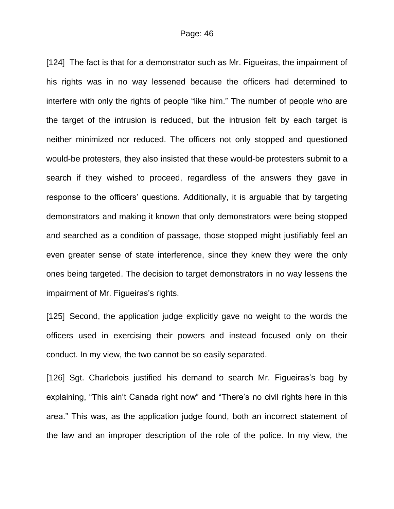[124] The fact is that for a demonstrator such as Mr. Figueiras, the impairment of his rights was in no way lessened because the officers had determined to interfere with only the rights of people "like him." The number of people who are the target of the intrusion is reduced, but the intrusion felt by each target is neither minimized nor reduced. The officers not only stopped and questioned would-be protesters, they also insisted that these would-be protesters submit to a search if they wished to proceed, regardless of the answers they gave in response to the officers' questions. Additionally, it is arguable that by targeting demonstrators and making it known that only demonstrators were being stopped and searched as a condition of passage, those stopped might justifiably feel an even greater sense of state interference, since they knew they were the only ones being targeted. The decision to target demonstrators in no way lessens the impairment of Mr. Figueiras's rights.

[125] Second, the application judge explicitly gave no weight to the words the officers used in exercising their powers and instead focused only on their conduct. In my view, the two cannot be so easily separated.

[126] Sgt. Charlebois justified his demand to search Mr. Figueiras's bag by explaining, "This ain't Canada right now" and "There's no civil rights here in this area." This was, as the application judge found, both an incorrect statement of the law and an improper description of the role of the police. In my view, the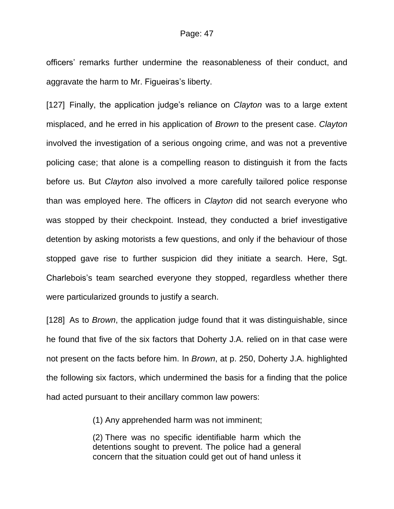officers' remarks further undermine the reasonableness of their conduct, and aggravate the harm to Mr. Figueiras's liberty.

[127] Finally, the application judge's reliance on *Clayton* was to a large extent misplaced, and he erred in his application of *Brown* to the present case. *Clayton* involved the investigation of a serious ongoing crime, and was not a preventive policing case; that alone is a compelling reason to distinguish it from the facts before us. But *Clayton* also involved a more carefully tailored police response than was employed here. The officers in *Clayton* did not search everyone who was stopped by their checkpoint. Instead, they conducted a brief investigative detention by asking motorists a few questions, and only if the behaviour of those stopped gave rise to further suspicion did they initiate a search. Here, Sgt. Charlebois's team searched everyone they stopped, regardless whether there were particularized grounds to justify a search.

[128] As to *Brown*, the application judge found that it was distinguishable, since he found that five of the six factors that Doherty J.A. relied on in that case were not present on the facts before him. In *Brown*, at p. 250, Doherty J.A. highlighted the following six factors, which undermined the basis for a finding that the police had acted pursuant to their ancillary common law powers:

(1) Any apprehended harm was not imminent;

(2) There was no specific identifiable harm which the detentions sought to prevent. The police had a general concern that the situation could get out of hand unless it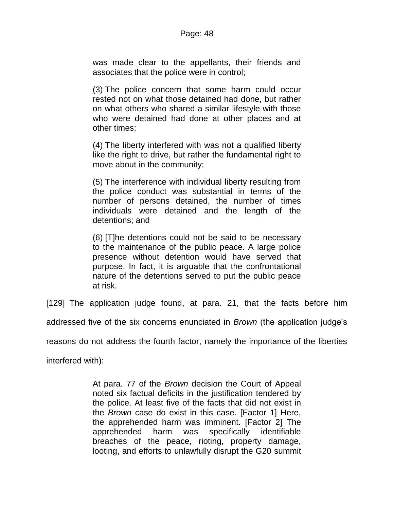was made clear to the appellants, their friends and associates that the police were in control;

(3) The police concern that some harm could occur rested not on what those detained had done, but rather on what others who shared a similar lifestyle with those who were detained had done at other places and at other times;

(4) The liberty interfered with was not a qualified liberty like the right to drive, but rather the fundamental right to move about in the community;

(5) The interference with individual liberty resulting from the police conduct was substantial in terms of the number of persons detained, the number of times individuals were detained and the length of the detentions; and

(6) [T]he detentions could not be said to be necessary to the maintenance of the public peace. A large police presence without detention would have served that purpose. In fact, it is arguable that the confrontational nature of the detentions served to put the public peace at risk.

[129] The application judge found, at para. 21, that the facts before him

addressed five of the six concerns enunciated in *Brown* (the application judge's

reasons do not address the fourth factor, namely the importance of the liberties

interfered with):

At para. 77 of the *Brown* decision the Court of Appeal noted six factual deficits in the justification tendered by the police. At least five of the facts that did not exist in the *Brown* case do exist in this case. [Factor 1] Here, the apprehended harm was imminent. [Factor 2] The apprehended harm was specifically identifiable breaches of the peace, rioting, property damage, looting, and efforts to unlawfully disrupt the G20 summit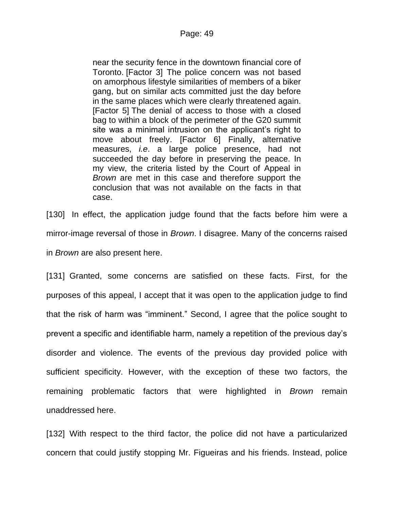near the security fence in the downtown financial core of Toronto. [Factor 3] The police concern was not based on amorphous lifestyle similarities of members of a biker gang, but on similar acts committed just the day before in the same places which were clearly threatened again. [Factor 5] The denial of access to those with a closed bag to within a block of the perimeter of the G20 summit site was a minimal intrusion on the applicant's right to move about freely. [Factor 6] Finally, alternative measures, *i.e*. a large police presence, had not succeeded the day before in preserving the peace. In my view, the criteria listed by the Court of Appeal in *Brown* are met in this case and therefore support the conclusion that was not available on the facts in that case.

[130] In effect, the application judge found that the facts before him were a mirror-image reversal of those in *Brown*. I disagree. Many of the concerns raised in *Brown* are also present here.

[131] Granted, some concerns are satisfied on these facts. First, for the purposes of this appeal, I accept that it was open to the application judge to find that the risk of harm was "imminent." Second, I agree that the police sought to prevent a specific and identifiable harm, namely a repetition of the previous day's disorder and violence. The events of the previous day provided police with sufficient specificity. However, with the exception of these two factors, the remaining problematic factors that were highlighted in *Brown* remain unaddressed here.

[132] With respect to the third factor, the police did not have a particularized concern that could justify stopping Mr. Figueiras and his friends. Instead, police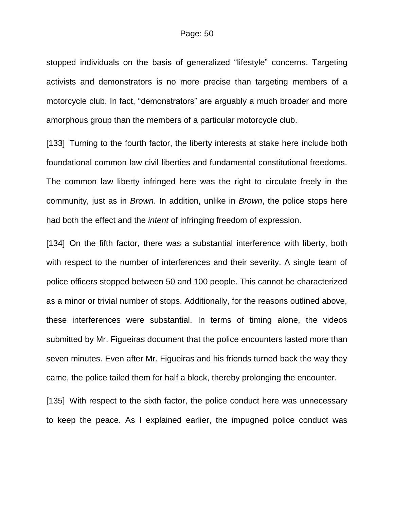stopped individuals on the basis of generalized "lifestyle" concerns. Targeting activists and demonstrators is no more precise than targeting members of a motorcycle club. In fact, "demonstrators" are arguably a much broader and more amorphous group than the members of a particular motorcycle club.

[133] Turning to the fourth factor, the liberty interests at stake here include both foundational common law civil liberties and fundamental constitutional freedoms. The common law liberty infringed here was the right to circulate freely in the community, just as in *Brown*. In addition, unlike in *Brown*, the police stops here had both the effect and the *intent* of infringing freedom of expression.

[134] On the fifth factor, there was a substantial interference with liberty, both with respect to the number of interferences and their severity. A single team of police officers stopped between 50 and 100 people. This cannot be characterized as a minor or trivial number of stops. Additionally, for the reasons outlined above, these interferences were substantial. In terms of timing alone, the videos submitted by Mr. Figueiras document that the police encounters lasted more than seven minutes. Even after Mr. Figueiras and his friends turned back the way they came, the police tailed them for half a block, thereby prolonging the encounter.

[135] With respect to the sixth factor, the police conduct here was unnecessary to keep the peace. As I explained earlier, the impugned police conduct was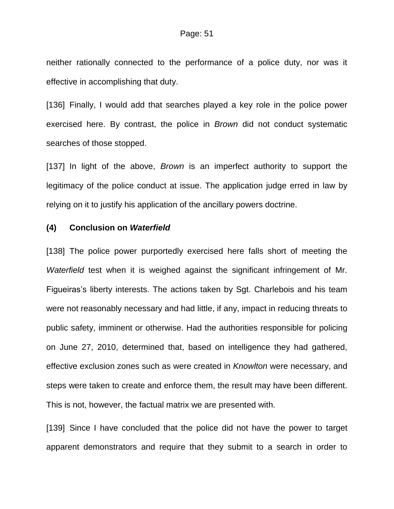neither rationally connected to the performance of a police duty, nor was it effective in accomplishing that duty.

[136] Finally, I would add that searches played a key role in the police power exercised here. By contrast, the police in *Brown* did not conduct systematic searches of those stopped.

[137] In light of the above, *Brown* is an imperfect authority to support the legitimacy of the police conduct at issue. The application judge erred in law by relying on it to justify his application of the ancillary powers doctrine.

## **(4) Conclusion on** *Waterfield*

[138] The police power purportedly exercised here falls short of meeting the *Waterfield* test when it is weighed against the significant infringement of Mr. Figueiras's liberty interests. The actions taken by Sgt. Charlebois and his team were not reasonably necessary and had little, if any, impact in reducing threats to public safety, imminent or otherwise. Had the authorities responsible for policing on June 27, 2010, determined that, based on intelligence they had gathered, effective exclusion zones such as were created in *Knowlton* were necessary, and steps were taken to create and enforce them, the result may have been different. This is not, however, the factual matrix we are presented with.

[139] Since I have concluded that the police did not have the power to target apparent demonstrators and require that they submit to a search in order to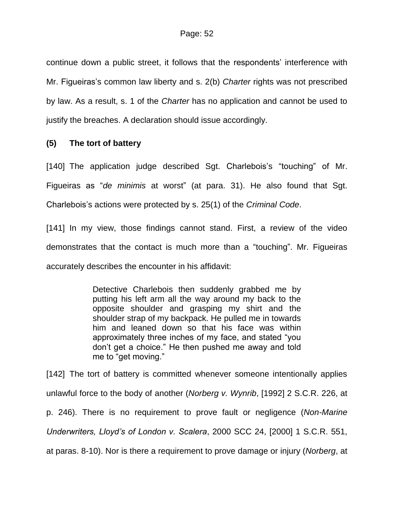continue down a public street, it follows that the respondents' interference with Mr. Figueiras's common law liberty and s. 2(b) *Charter* rights was not prescribed by law. As a result, s. 1 of the *Charter* has no application and cannot be used to justify the breaches. A declaration should issue accordingly.

# **(5) The tort of battery**

[140] The application judge described Sgt. Charlebois's "touching" of Mr. Figueiras as "*de minimis* at worst" (at para. 31). He also found that Sgt. Charlebois's actions were protected by s. 25(1) of the *Criminal Code*.

[141] In my view, those findings cannot stand. First, a review of the video demonstrates that the contact is much more than a "touching". Mr. Figueiras accurately describes the encounter in his affidavit:

> Detective Charlebois then suddenly grabbed me by putting his left arm all the way around my back to the opposite shoulder and grasping my shirt and the shoulder strap of my backpack. He pulled me in towards him and leaned down so that his face was within approximately three inches of my face, and stated "you don't get a choice." He then pushed me away and told me to "get moving."

[142] The tort of battery is committed whenever someone intentionally applies unlawful force to the body of another (*Norberg v. Wynrib*, [1992] 2 S.C.R. 226, at p. 246). There is no requirement to prove fault or negligence (*Non-Marine Underwriters, Lloyd's of London v. Scalera*, 2000 SCC 24, [2000] 1 S.C.R. 551, at paras. 8-10). Nor is there a requirement to prove damage or injury (*Norberg*, at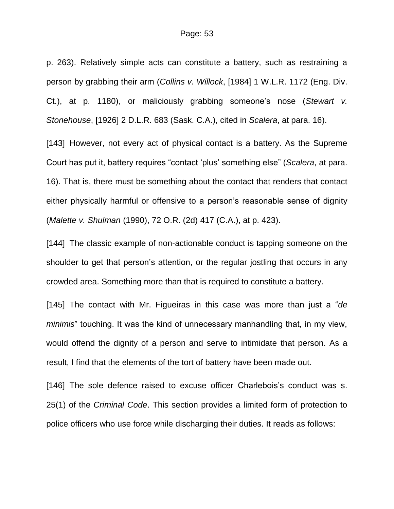p. 263). Relatively simple acts can constitute a battery, such as restraining a person by grabbing their arm (*Collins v. Willock*, [1984] 1 W.L.R. 1172 (Eng. Div. Ct.), at p. 1180), or maliciously grabbing someone's nose (*Stewart v. Stonehouse*, [1926] 2 D.L.R. 683 (Sask. C.A.), cited in *Scalera*, at para. 16).

[143] However, not every act of physical contact is a battery. As the Supreme Court has put it, battery requires "contact 'plus' something else" (*Scalera*, at para. 16). That is, there must be something about the contact that renders that contact either physically harmful or offensive to a person's reasonable sense of dignity (*Malette v. Shulman* (1990), 72 O.R. (2d) 417 (C.A.), at p. 423).

[144] The classic example of non-actionable conduct is tapping someone on the shoulder to get that person's attention, or the regular jostling that occurs in any crowded area. Something more than that is required to constitute a battery.

[145] The contact with Mr. Figueiras in this case was more than just a "*de minimis*" touching. It was the kind of unnecessary manhandling that, in my view, would offend the dignity of a person and serve to intimidate that person. As a result, I find that the elements of the tort of battery have been made out.

[146] The sole defence raised to excuse officer Charlebois's conduct was s. 25(1) of the *Criminal Code*. This section provides a limited form of protection to police officers who use force while discharging their duties. It reads as follows: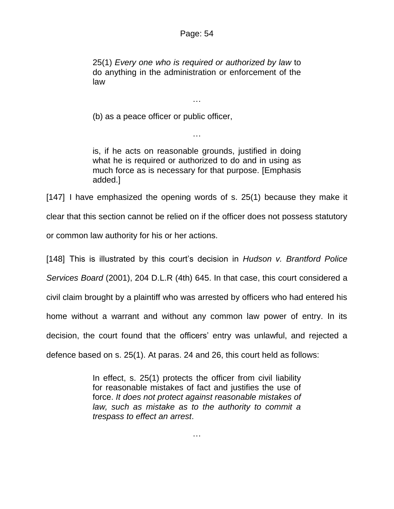25(1) *Every one who is required or authorized by law* to do anything in the administration or enforcement of the law

…

(b) as a peace officer or public officer,

is, if he acts on reasonable grounds, justified in doing what he is required or authorized to do and in using as much force as is necessary for that purpose. [Emphasis added.]

…

[147] I have emphasized the opening words of s. 25(1) because they make it clear that this section cannot be relied on if the officer does not possess statutory or common law authority for his or her actions.

[148] This is illustrated by this court's decision in *Hudson v. Brantford Police Services Board* (2001), 204 D.L.R (4th) 645. In that case, this court considered a civil claim brought by a plaintiff who was arrested by officers who had entered his home without a warrant and without any common law power of entry. In its decision, the court found that the officers' entry was unlawful, and rejected a defence based on s. 25(1). At paras. 24 and 26, this court held as follows:

> In effect, s. 25(1) protects the officer from civil liability for reasonable mistakes of fact and justifies the use of force. *It does not protect against reasonable mistakes of law, such as mistake as to the authority to commit a trespass to effect an arrest*.

> > …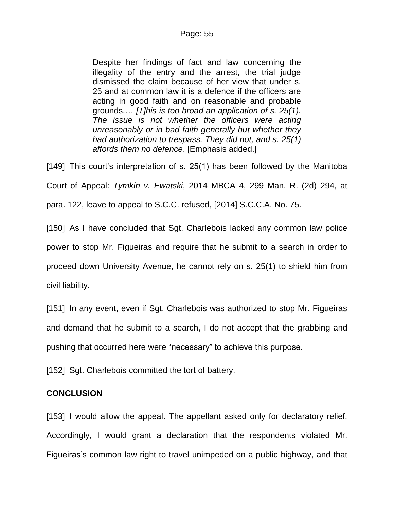Despite her findings of fact and law concerning the illegality of the entry and the arrest, the trial judge dismissed the claim because of her view that under s. 25 and at common law it is a defence if the officers are acting in good faith and on reasonable and probable grounds.… *[T]his is too broad an application of s. 25(1). The issue is not whether the officers were acting unreasonably or in bad faith generally but whether they had authorization to trespass. They did not, and s. 25(1) affords them no defence*. [Emphasis added.]

[149] This court's interpretation of s. 25(1) has been followed by the Manitoba Court of Appeal: *Tymkin v. Ewatski*, 2014 MBCA 4, 299 Man. R. (2d) 294, at para. 122, leave to appeal to S.C.C. refused, [2014] S.C.C.A. No. 75.

[150] As I have concluded that Sgt. Charlebois lacked any common law police power to stop Mr. Figueiras and require that he submit to a search in order to proceed down University Avenue, he cannot rely on s. 25(1) to shield him from civil liability.

[151] In any event, even if Sgt. Charlebois was authorized to stop Mr. Figueiras and demand that he submit to a search, I do not accept that the grabbing and pushing that occurred here were "necessary" to achieve this purpose.

[152] Sgt. Charlebois committed the tort of battery.

# **CONCLUSION**

[153] I would allow the appeal. The appellant asked only for declaratory relief. Accordingly, I would grant a declaration that the respondents violated Mr. Figueiras's common law right to travel unimpeded on a public highway, and that